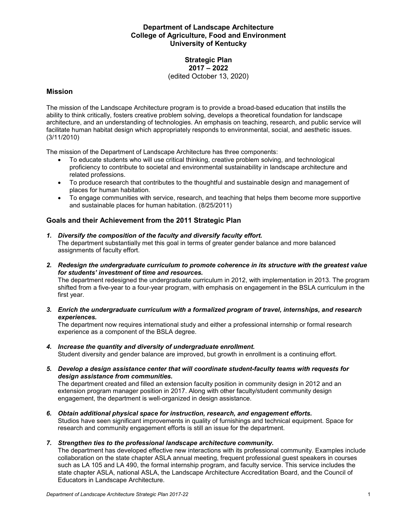# **Department of Landscape Architecture College of Agriculture, Food and Environment University of Kentucky**

#### **Strategic Plan 2017 – 2022** (edited October 13, 2020)

## **Mission**

The mission of the Landscape Architecture program is to provide a broad-based education that instills the ability to think critically, fosters creative problem solving, develops a theoretical foundation for landscape architecture, and an understanding of technologies. An emphasis on teaching, research, and public service will facilitate human habitat design which appropriately responds to environmental, social, and aesthetic issues. (3/11/2010)

The mission of the Department of Landscape Architecture has three components:

- To educate students who will use critical thinking, creative problem solving, and technological proficiency to contribute to societal and environmental sustainability in landscape architecture and related professions.
- To produce research that contributes to the thoughtful and sustainable design and management of places for human habitation.
- To engage communities with service, research, and teaching that helps them become more supportive and sustainable places for human habitation. (8/25/2011)

# **Goals and their Achievement from the 2011 Strategic Plan**

- *1. Diversify the composition of the faculty and diversify faculty effort.* The department substantially met this goal in terms of greater gender balance and more balanced assignments of faculty effort.
- *2. Redesign the undergraduate curriculum to promote coherence in its structure with the greatest value for students' investment of time and resources.*

The department redesigned the undergraduate curriculum in 2012, with implementation in 2013. The program shifted from a five-year to a four-year program, with emphasis on engagement in the BSLA curriculum in the first year.

*3. Enrich the undergraduate curriculum with a formalized program of travel, internships, and research experiences.*

The department now requires international study and either a professional internship or formal research experience as a component of the BSLA degree.

- *4. Increase the quantity and diversity of undergraduate enrollment.* Student diversity and gender balance are improved, but growth in enrollment is a continuing effort.
- *5. Develop a design assistance center that will coordinate student-faculty teams with requests for design assistance from communities.*

The department created and filled an extension faculty position in community design in 2012 and an extension program manager position in 2017. Along with other faculty/student community design engagement, the department is well-organized in design assistance.

*6. Obtain additional physical space for instruction, research, and engagement efforts.* Studios have seen significant improvements in quality of furnishings and technical equipment. Space for research and community engagement efforts is still an issue for the department.

### *7. Strengthen ties to the professional landscape architecture community.*

The department has developed effective new interactions with its professional community. Examples include collaboration on the state chapter ASLA annual meeting, frequent professional guest speakers in courses such as LA 105 and LA 490, the formal internship program, and faculty service. This service includes the state chapter ASLA, national ASLA, the Landscape Architecture Accreditation Board, and the Council of Educators in Landscape Architecture.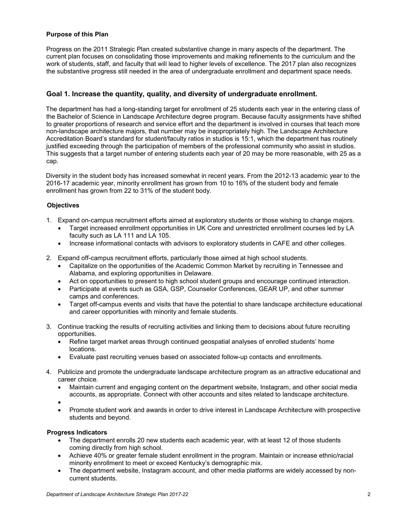### **Purpose of this Plan**

Progress on the 2011 Strategic Plan created substantive change in many aspects of the department. The current plan focuses on consolidating those improvements and making refinements to the curriculum and the work of students, staff, and faculty that will lead to higher levels of excellence. The 2017 plan also recognizes the substantive progress still needed in the area of undergraduate enrollment and department space needs.

### **Goal 1. Increase the quantity, quality, and diversity of undergraduate enrollment.**

The department has had a long-standing target for enrollment of 25 students each year in the entering class of the Bachelor of Science in Landscape Architecture degree program. Because faculty assignments have shifted to greater proportions of research and service effort and the department is involved in courses that teach more non-landscape architecture majors, that number may be inappropriately high. The Landscape Architecture Accreditation Board's standard for student/faculty ratios in studios is 15:1, which the department has routinely justified exceeding through the participation of members of the professional community who assist in studios. This suggests that a target number of entering students each year of 20 may be more reasonable, with 25 as a cap.

Diversity in the student body has increased somewhat in recent years. From the 2012-13 academic year to the 2016-17 academic year, minority enrollment has grown from 10 to 16% of the student body and female enrollment has grown from 22 to 31% of the student body.

#### **Objectives**

- 1. Expand on-campus recruitment efforts aimed at exploratory students or those wishing to change majors.
	- Target increased enrollment opportunities in UK Core and unrestricted enrollment courses led by LA faculty such as LA 111 and LA 105.
	- Increase informational contacts with advisors to exploratory students in CAFE and other colleges.
- 2. Expand off-campus recruitment efforts, particularly those aimed at high school students.
	- Capitalize on the opportunities of the Academic Common Market by recruiting in Tennessee and Alabama, and exploring opportunities in Delaware.
	- Act on opportunities to present to high school student groups and encourage continued interaction.
	- Participate at events such as GSA, GSP, Counselor Conferences, GEAR UP, and other summer camps and conferences.
	- Target off-campus events and visits that have the potential to share landscape architecture educational and career opportunities with minority and female students.
- 3. Continue tracking the results of recruiting activities and linking them to decisions about future recruiting opportunities.
	- Refine target market areas through continued geospatial analyses of enrolled students' home locations.
	- Evaluate past recruiting venues based on associated follow-up contacts and enrollments.
- 4. Publicize and promote the undergraduate landscape architecture program as an attractive educational and career choice.
	- Maintain current and engaging content on the department website, Instagram, and other social media accounts, as appropriate. Connect with other accounts and sites related to landscape architecture.
	- •
	- Promote student work and awards in order to drive interest in Landscape Architecture with prospective students and beyond.

#### **Progress Indicators**

- The department enrolls 20 new students each academic year, with at least 12 of those students coming directly from high school.
- Achieve 40% or greater female student enrollment in the program. Maintain or increase ethnic/racial minority enrollment to meet or exceed Kentucky's demographic mix.
- The department website, Instagram account, and other media platforms are widely accessed by noncurrent students.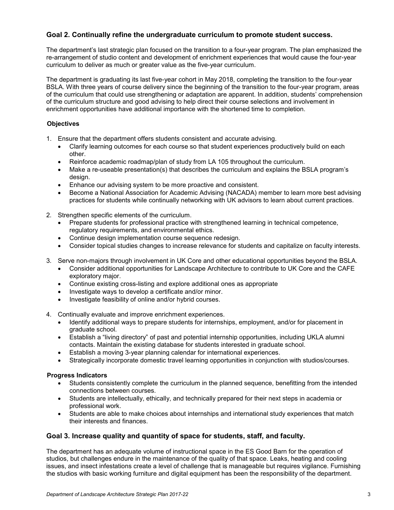# **Goal 2. Continually refine the undergraduate curriculum to promote student success.**

The department's last strategic plan focused on the transition to a four-year program. The plan emphasized the re-arrangement of studio content and development of enrichment experiences that would cause the four-year curriculum to deliver as much or greater value as the five-year curriculum.

The department is graduating its last five-year cohort in May 2018, completing the transition to the four-year BSLA. With three years of course delivery since the beginning of the transition to the four-year program, areas of the curriculum that could use strengthening or adaptation are apparent. In addition, students' comprehension of the curriculum structure and good advising to help direct their course selections and involvement in enrichment opportunities have additional importance with the shortened time to completion.

## **Objectives**

- 1. Ensure that the department offers students consistent and accurate advising.
	- Clarify learning outcomes for each course so that student experiences productively build on each other.
	- Reinforce academic roadmap/plan of study from LA 105 throughout the curriculum.
	- Make a re-useable presentation(s) that describes the curriculum and explains the BSLA program's design.
	- Enhance our advising system to be more proactive and consistent.
	- Become a National Association for Academic Advising (NACADA) member to learn more best advising practices for students while continually networking with UK advisors to learn about current practices.
- 2. Strengthen specific elements of the curriculum.
	- Prepare students for professional practice with strengthened learning in technical competence, regulatory requirements, and environmental ethics.
	- Continue design implementation course sequence redesign.
	- Consider topical studies changes to increase relevance for students and capitalize on faculty interests.
- 3. Serve non-majors through involvement in UK Core and other educational opportunities beyond the BSLA.
	- Consider additional opportunities for Landscape Architecture to contribute to UK Core and the CAFE exploratory major.
	- Continue existing cross-listing and explore additional ones as appropriate
	- Investigate ways to develop a certificate and/or minor.
	- Investigate feasibility of online and/or hybrid courses.
- 4. Continually evaluate and improve enrichment experiences.
	- Identify additional ways to prepare students for internships, employment, and/or for placement in graduate school.
	- Establish a "living directory" of past and potential internship opportunities, including UKLA alumni contacts. Maintain the existing database for students interested in graduate school.
	- Establish a moving 3-year planning calendar for international experiences.
	- Strategically incorporate domestic travel learning opportunities in conjunction with studios/courses.

### **Progress Indicators**

- Students consistently complete the curriculum in the planned sequence, benefitting from the intended connections between courses.
- Students are intellectually, ethically, and technically prepared for their next steps in academia or professional work.
- Students are able to make choices about internships and international study experiences that match their interests and finances.

### **Goal 3. Increase quality and quantity of space for students, staff, and faculty.**

The department has an adequate volume of instructional space in the ES Good Barn for the operation of studios, but challenges endure in the maintenance of the quality of that space. Leaks, heating and cooling issues, and insect infestations create a level of challenge that is manageable but requires vigilance. Furnishing the studios with basic working furniture and digital equipment has been the responsibility of the department.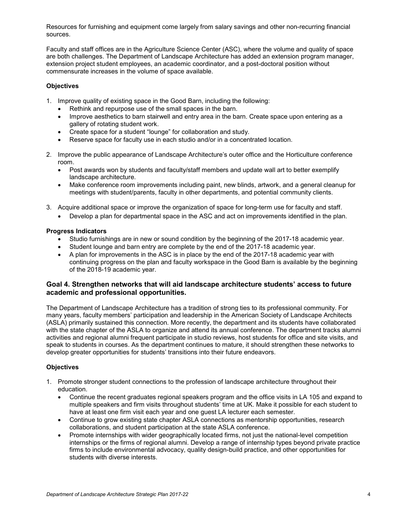Resources for furnishing and equipment come largely from salary savings and other non-recurring financial sources.

Faculty and staff offices are in the Agriculture Science Center (ASC), where the volume and quality of space are both challenges. The Department of Landscape Architecture has added an extension program manager, extension project student employees, an academic coordinator, and a post-doctoral position without commensurate increases in the volume of space available.

### **Objectives**

- 1. Improve quality of existing space in the Good Barn, including the following:
	- Rethink and repurpose use of the small spaces in the barn.
	- Improve aesthetics to barn stairwell and entry area in the barn. Create space upon entering as a gallery of rotating student work.
	- Create space for a student "lounge" for collaboration and study.
	- Reserve space for faculty use in each studio and/or in a concentrated location.
- 2. Improve the public appearance of Landscape Architecture's outer office and the Horticulture conference room.
	- Post awards won by students and faculty/staff members and update wall art to better exemplify landscape architecture.
	- Make conference room improvements including paint, new blinds, artwork, and a general cleanup for meetings with student/parents, faculty in other departments, and potential community clients.
- 3. Acquire additional space or improve the organization of space for long-term use for faculty and staff.
	- Develop a plan for departmental space in the ASC and act on improvements identified in the plan.

#### **Progress Indicators**

- Studio furnishings are in new or sound condition by the beginning of the 2017-18 academic year.
- Student lounge and barn entry are complete by the end of the 2017-18 academic year.
- A plan for improvements in the ASC is in place by the end of the 2017-18 academic year with continuing progress on the plan and faculty workspace in the Good Barn is available by the beginning of the 2018-19 academic year.

### **Goal 4. Strengthen networks that will aid landscape architecture students' access to future academic and professional opportunities.**

The Department of Landscape Architecture has a tradition of strong ties to its professional community. For many years, faculty members' participation and leadership in the American Society of Landscape Architects (ASLA) primarily sustained this connection. More recently, the department and its students have collaborated with the state chapter of the ASLA to organize and attend its annual conference. The department tracks alumni activities and regional alumni frequent participate in studio reviews, host students for office and site visits, and speak to students in courses. As the department continues to mature, it should strengthen these networks to develop greater opportunities for students' transitions into their future endeavors.

### **Objectives**

- 1. Promote stronger student connections to the profession of landscape architecture throughout their education.
	- Continue the recent graduates regional speakers program and the office visits in LA 105 and expand to multiple speakers and firm visits throughout students' time at UK. Make it possible for each student to have at least one firm visit each year and one guest LA lecturer each semester.
	- Continue to grow existing state chapter ASLA connections as mentorship opportunities, research collaborations, and student participation at the state ASLA conference.
	- Promote internships with wider geographically located firms, not just the national-level competition internships or the firms of regional alumni. Develop a range of internship types beyond private practice firms to include environmental advocacy, quality design-build practice, and other opportunities for students with diverse interests.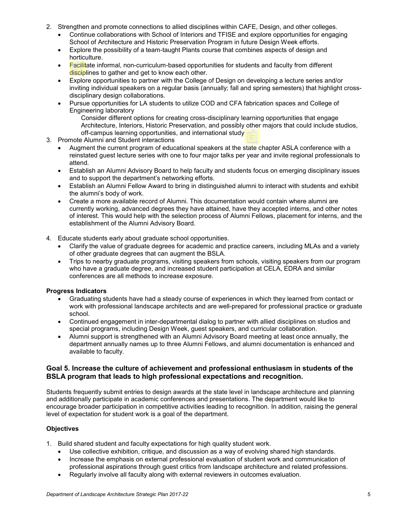- 2. Strengthen and promote connections to allied disciplines within CAFE, Design, and other colleges.
	- Continue collaborations with School of Interiors and TFISE and explore opportunities for engaging School of Architecture and Historic Preservation Program in future Design Week efforts.
	- Explore the possibility of a team-taught Plants course that combines aspects of design and horticulture.
	- Facilitate informal, non-curriculum-based opportunities for students and faculty from different disciplines to gather and get to know each other.
	- Explore opportunities to partner with the College of Design on developing a lecture series and/or inviting individual speakers on a regular basis (annually; fall and spring semesters) that highlight crossdisciplinary design collaborations.
	- Pursue opportunities for LA students to utilize COD and CFA fabrication spaces and College of Engineering laboratory

Consider different options for creating cross-disciplinary learning opportunities that engage Architecture, Interiors, Historic Preservation, and possibly other majors that could include studios, off-campus learning opportunities, and international study

- 3. Promote Alumni and Student interactions
	- Augment the current program of educational speakers at the state chapter ASLA conference with a reinstated guest lecture series with one to four major talks per year and invite regional professionals to attend.
	- Establish an Alumni Advisory Board to help faculty and students focus on emerging disciplinary issues and to support the department's networking efforts.
	- Establish an Alumni Fellow Award to bring in distinguished alumni to interact with students and exhibit the alumni's body of work.
	- Create a more available record of Alumni. This documentation would contain where alumni are currently working, advanced degrees they have attained, have they accepted interns, and other notes of interest. This would help with the selection process of Alumni Fellows, placement for interns, and the establishment of the Alumni Advisory Board.
- 4. Educate students early about graduate school opportunities.
	- Clarify the value of graduate degrees for academic and practice careers, including MLAs and a variety of other graduate degrees that can augment the BSLA.
	- Trips to nearby graduate programs, visiting speakers from schools, visiting speakers from our program who have a graduate degree, and increased student participation at CELA, EDRA and similar conferences are all methods to increase exposure.

### **Progress Indicators**

- Graduating students have had a steady course of experiences in which they learned from contact or work with professional landscape architects and are well-prepared for professional practice or graduate school.
- Continued engagement in inter-departmental dialog to partner with allied disciplines on studios and special programs, including Design Week, guest speakers, and curricular collaboration.
- Alumni support is strengthened with an Alumni Advisory Board meeting at least once annually, the department annually names up to three Alumni Fellows, and alumni documentation is enhanced and available to faculty.

# **Goal 5. Increase the culture of achievement and professional enthusiasm in students of the BSLA program that leads to high professional expectations and recognition.**

Students frequently submit entries to design awards at the state level in landscape architecture and planning and additionally participate in academic conferences and presentations. The department would like to encourage broader participation in competitive activities leading to recognition. In addition, raising the general level of expectation for student work is a goal of the department.

# **Objectives**

- 1. Build shared student and faculty expectations for high quality student work.
	- Use collective exhibition, critique, and discussion as a way of evolving shared high standards.
	- Increase the emphasis on external professional evaluation of student work and communication of professional aspirations through guest critics from landscape architecture and related professions.
	- Regularly involve all faculty along with external reviewers in outcomes evaluation.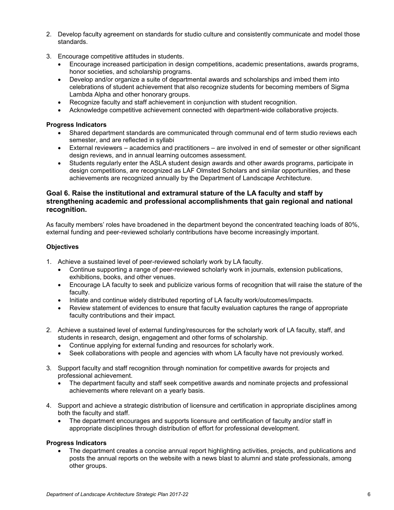- 2. Develop faculty agreement on standards for studio culture and consistently communicate and model those standards.
- 3. Encourage competitive attitudes in students.
	- Encourage increased participation in design competitions, academic presentations, awards programs, honor societies, and scholarship programs.
	- Develop and/or organize a suite of departmental awards and scholarships and imbed them into celebrations of student achievement that also recognize students for becoming members of Sigma Lambda Alpha and other honorary groups.
	- Recognize faculty and staff achievement in conjunction with student recognition.
	- Acknowledge competitive achievement connected with department-wide collaborative projects.

#### **Progress Indicators**

- Shared department standards are communicated through communal end of term studio reviews each semester, and are reflected in syllabi
- External reviewers academics and practitioners are involved in end of semester or other significant design reviews, and in annual learning outcomes assessment.
- Students regularly enter the ASLA student design awards and other awards programs, participate in design competitions, are recognized as LAF Olmsted Scholars and similar opportunities, and these achievements are recognized annually by the Department of Landscape Architecture.

## **Goal 6. Raise the institutional and extramural stature of the LA faculty and staff by strengthening academic and professional accomplishments that gain regional and national recognition.**

As faculty members' roles have broadened in the department beyond the concentrated teaching loads of 80%, external funding and peer-reviewed scholarly contributions have become increasingly important.

#### **Objectives**

- 1. Achieve a sustained level of peer-reviewed scholarly work by LA faculty.
	- Continue supporting a range of peer-reviewed scholarly work in journals, extension publications, exhibitions, books, and other venues.
	- Encourage LA faculty to seek and publicize various forms of recognition that will raise the stature of the faculty.
	- Initiate and continue widely distributed reporting of LA faculty work/outcomes/impacts.
	- Review statement of evidences to ensure that faculty evaluation captures the range of appropriate faculty contributions and their impact.
- 2. Achieve a sustained level of external funding/resources for the scholarly work of LA faculty, staff, and students in research, design, engagement and other forms of scholarship.
	- Continue applying for external funding and resources for scholarly work.
	- Seek collaborations with people and agencies with whom LA faculty have not previously worked.
- 3. Support faculty and staff recognition through nomination for competitive awards for projects and professional achievement.
	- The department faculty and staff seek competitive awards and nominate projects and professional achievements where relevant on a yearly basis.
- 4. Support and achieve a strategic distribution of licensure and certification in appropriate disciplines among both the faculty and staff.
	- The department encourages and supports licensure and certification of faculty and/or staff in appropriate disciplines through distribution of effort for professional development.

### **Progress Indicators**

• The department creates a concise annual report highlighting activities, projects, and publications and posts the annual reports on the website with a news blast to alumni and state professionals, among other groups.